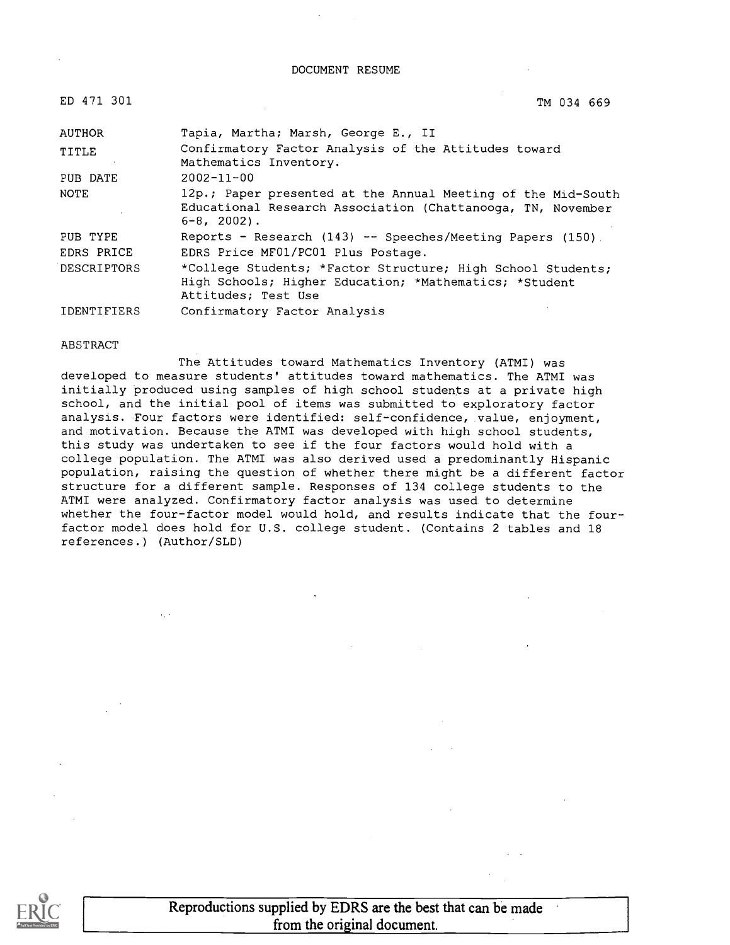#### DOCUMENT RESUME

|  | ED | 471 |  |  | - 301 |
|--|----|-----|--|--|-------|
|--|----|-----|--|--|-------|

ED 471 301 TM 034 669

| AUTHOR      | Tapia, Martha; Marsh, George E., II                                                                                                             |
|-------------|-------------------------------------------------------------------------------------------------------------------------------------------------|
| TITLE       | Confirmatory Factor Analysis of the Attitudes toward<br>Mathematics Inventory.                                                                  |
| PUB DATE    | $2002 - 11 - 00$                                                                                                                                |
| NOTE        | 12p.; Paper presented at the Annual Meeting of the Mid-South<br>Educational Research Association (Chattanooga, TN, November<br>$6 - 8$ , 2002). |
| PUB TYPE    | Reports - Research $(143)$ -- Speeches/Meeting Papers $(150)$ .                                                                                 |
| EDRS PRICE  | EDRS Price MF01/PC01 Plus Postage.                                                                                                              |
| DESCRIPTORS | *College Students; *Factor Structure; High School Students;<br>High Schools; Higher Education; *Mathematics; *Student<br>Attitudes; Test Use    |
| IDENTIFIERS | Confirmatory Factor Analysis                                                                                                                    |

#### ABSTRACT

The Attitudes toward Mathematics Inventory (ATMI) was developed to measure students' attitudes toward mathematics. The ATMI was initially produced using samples of high school students at a private high school, and the initial pool of items was submitted to exploratory factor analysis. Four factors were identified: self-confidence, value, enjoyment, and motivation. Because the ATMI was developed with high school students, this study was undertaken to see if the four factors would hold with a college population. The ATMI was also derived used a predominantly Hispanic population, raising the question of whether there might be a different factor structure for a different sample. Responses of 134 college students to the ATMI were analyzed. Confirmatory factor analysis was used to determine whether the four-factor model would hold, and results indicate that the fourfactor model does hold for U.S. college student. (Contains 2 tables and 18 references.) (Author/SLD)

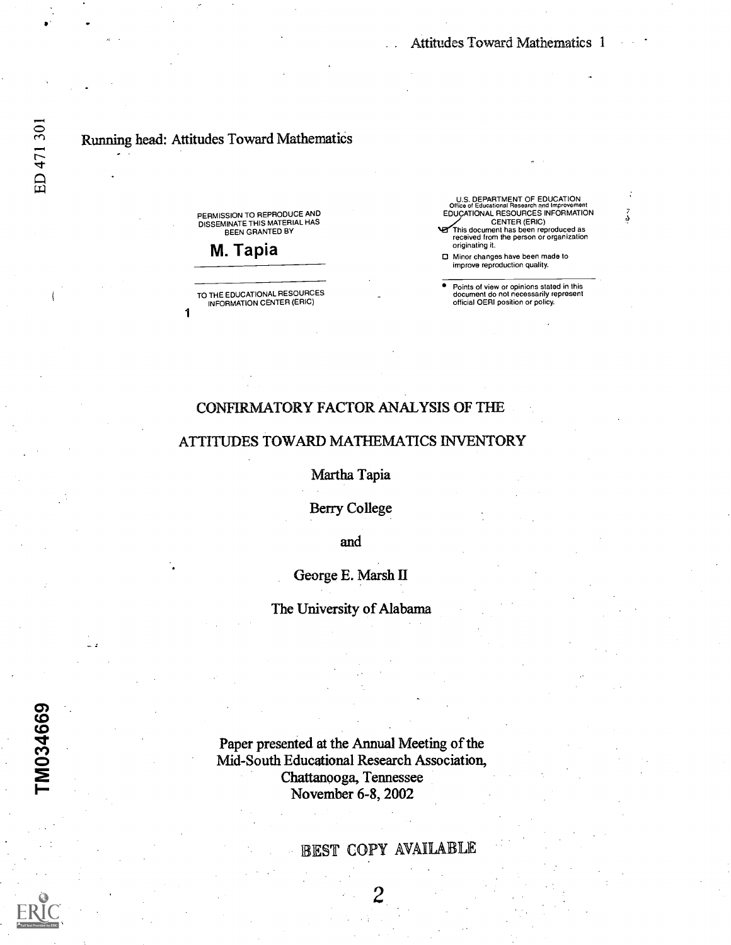## Running head: Attitudes Toward Mathematics

1

PERMISSION TO REPRODUCE AND DISSEMINATE THIS MATERIAL HAS BEEN GRANTED BY

M. Tapia

TO THE EDUCATIONAL RESOURCES INFORMATION CENTER (ERIC)

U.S. DEPARTMENT OF EDUCATION Office of Educational Research and Improvement EDUCATIONAL RESOURCES INFORMATION CENTER (ERIC) This document has been reproduced as received from the person or organization originating it.

Minor changes have been made to improve reproduction quality.

Points of view or opinions stated in this document do not necessarily represent official OERI position or policy.

## CONFIRMATORY FACTOR ANALYSIS OF THE

### ATTITUDES TOWARD MATHEMATICS INVENTORY

Martha Tapia

Berry College

and

George E. Marsh II

The University of Alabama

Paper presented at the Annual Meeting of the Mid-South Educational Research Association, Chattanooga, Tennessee November 6-8, 2002

## EST COPY AVAILABLE

 $2^{n-1}$ 

0) co <u>c</u>o de la contrada de la contrada de la contrada de la contrada de la contrada de la contrada de la contrada d<br>De la contrada de la contrada de la contrada de la contrada de la contrada de la contrada de la contrada de la

က္ကားလ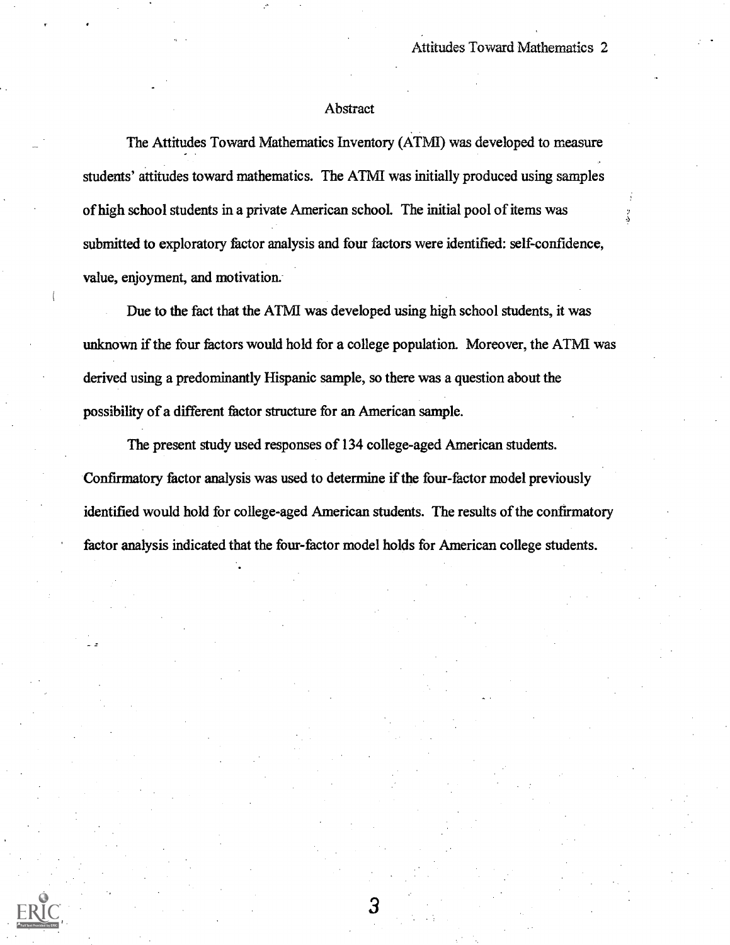### Abstract

The Attitudes Toward Mathematics Inventory (ATMI) was developed to measure students' attitudes toward mathematics. The ATMI was initially produced using samples of high school students in a private American school. The initial pool of items was submitted to exploratory factor analysis and four factors were identified: self-confidence, value, enjoyment, and motivation.

Due to the fact that the ATMI was developed using high school students, it was unknown if the four factors would hold for a college population. Moreover, the ATMI was derived using a predominantly Hispanic sample, so there was a question about the possibility of a different factor structure for an American sample.

The present study used responses of 134 college-aged American students. Confirmatory factor analysis was used to determine if the four-factor model previously identified would hold for college-aged American students. The results of the confirmatory factor analysis indicated that the four-factor model holds for American college students.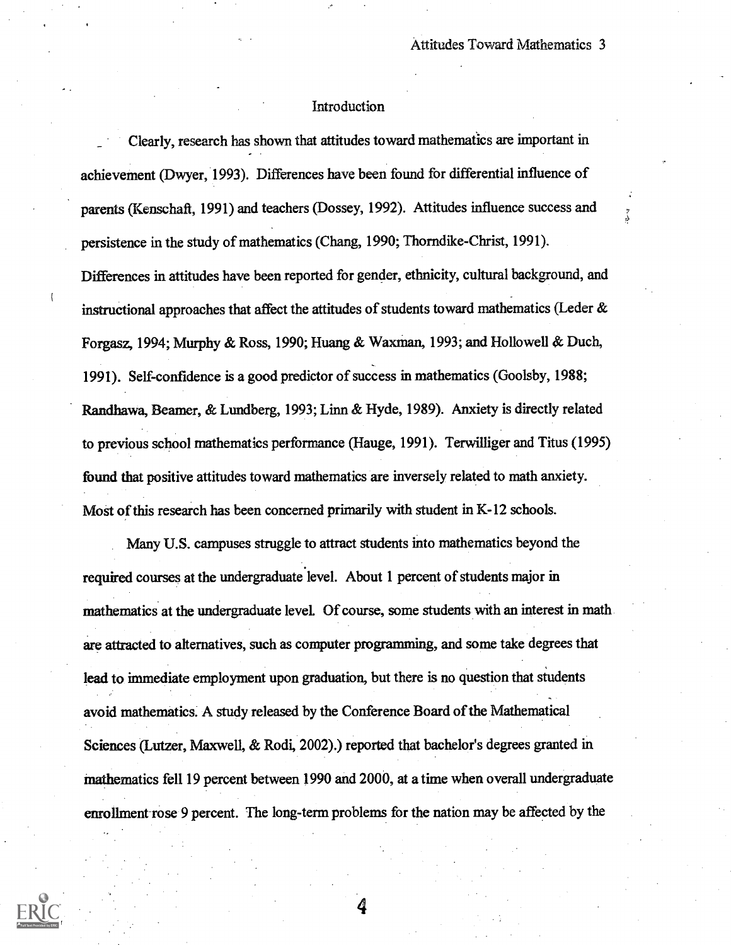### Introduction

Clearly, research has shown that attitudes toward mathematics are important in achievement (Dwyer, 1993). Differences have been found for differential influence of parents (Kenschaft, 1991) and teachers (Dossey, 1992). Attitudes influence success and persistence in the study of mathematics (Chang, 1990; Thomdike-Christ, 1991). Differences in attitudes have been reported for gender, ethnicity, cultural background, and instructional approaches that affect the attitudes of students toward mathematics (Leder & Forgasz, 1994; Murphy & Ross, 1990; Huang & Waxman, 1993; and Hollowell & Duch, 1991). Self-confidence is a good predictor of success in mathematics (Goolsby, 1988; Randhawa, Reamer, & Lundberg, 1993; Linn & Hyde, 1989). Anxiety is directly related to previous school mathematics performance (Hauge, 1991). Terwilliger and Titus (1995) found that positive attitudes toward mathematics are inversely related to math anxiety. Most of this research has been concerned primarily with student in K-12 schools.

Many U.S. campuses struggle to attract students into mathematics beyond the required courses at the undergraduate level. About 1 percent of students major in mathematics at the undergraduate level. Of course, some students with an interest in math are attracted to alternatives, such as computer programming, and some take degrees that lead to immediate employment upon graduation, but there is no question that students avoid mathematics. A study released by the Conference Board of the Mathematical Sciences (Lutzer, Maxwell, & Rodi, 2002).) reported that bachelor's degrees granted in mathematics fell 19 percent between 1990 and 2000, at a time when overall undergraduate enrollment-rose 9 percent. The long-term problems for the nation may be affected by the

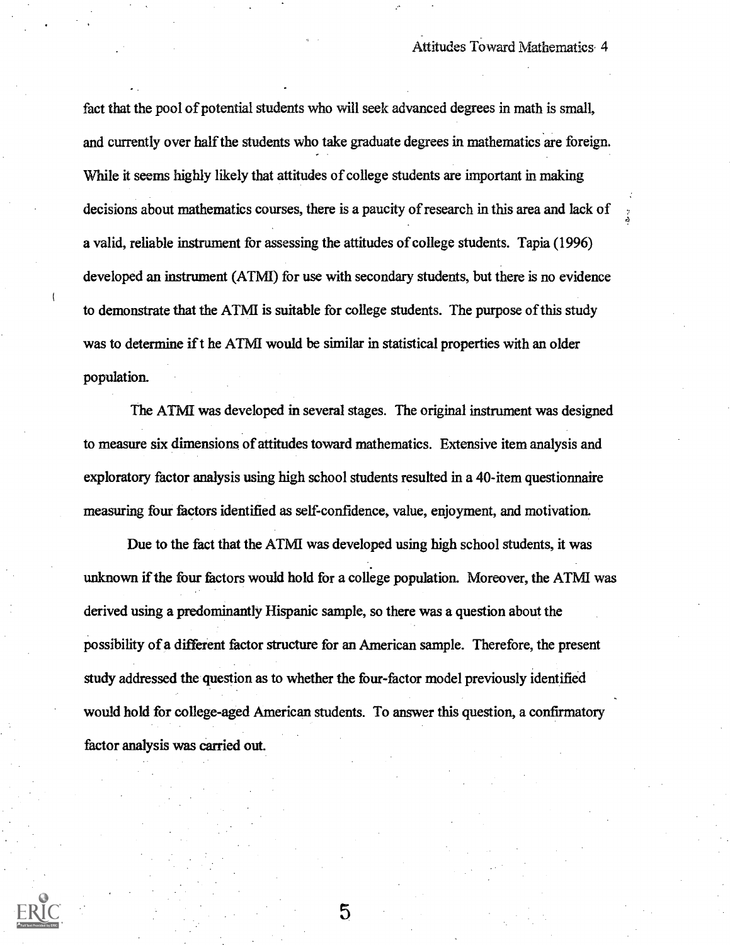fact that the pool of potential students who will seek advanced degrees in math is small, and currently over half the students who take graduate degrees in mathematics are foreign. While it seems highly likely that attitudes of college students are important in making decisions about mathematics courses, there is a paucity of research in this area and lack of a valid, reliable instrument for assessing the attitudes of college students. Tapia (1996) developed an instrument (ATMI) for use with secondary students, but there is no evidence to demonstrate that the ATMI is suitable for college students. The purpose of this study was to determine if t he ATMI would be similar in statistical properties with an older population.

The ATMI was developed in several stages. The original instrument was designed to measure six dimensions of attitudes toward mathematics. Extensive item analysis and exploratory factor analysis using high school students resulted in a 40-item questionnaire measuring four factors identified as self-confidence, value, enjoyment, and motivation.

Due to the fact that the ATMI was developed using high school students, it was unknown if the four factors would hold for a college population. Moreover, the ATMI was derived using a predominantly Hispanic sample, so there was a question about the possibility of a different factor structure for an American sample. Therefore, the present study addressed the question as to whether the four-factor model previously identified would hold for college-aged American students. To answer this question, a confirmatory factor analysis was carried out.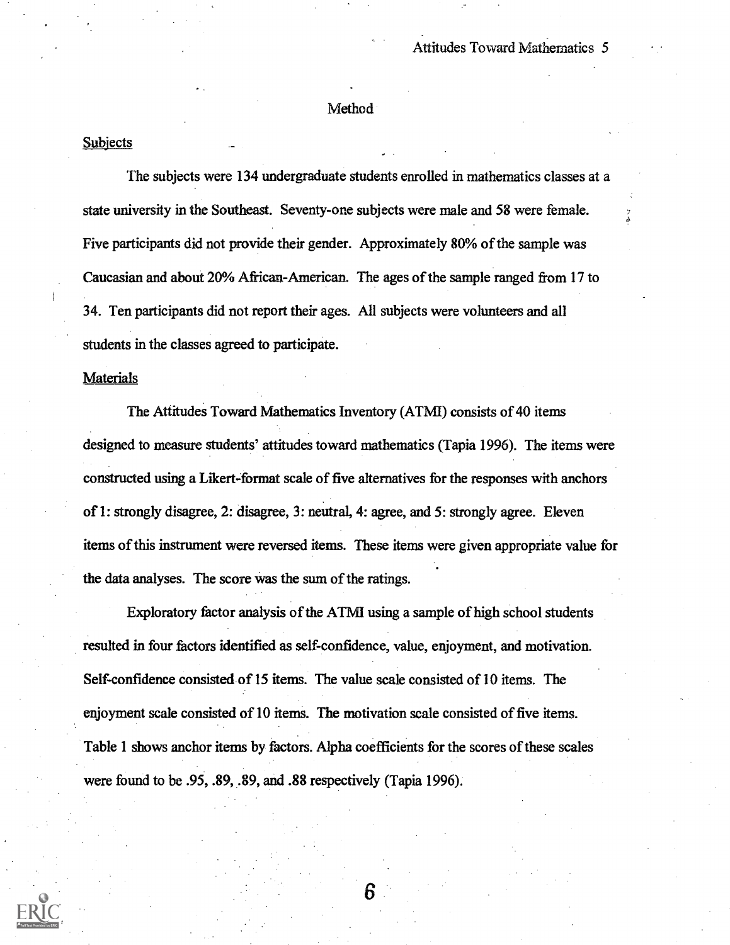### Method

### Subjects

The subjects were 134 undergraduate students enrolled in mathematics classes at a state university in the Southeast. Seventy-one subjects were male and 58 were female. Five participants did not provide their gender. Approximately 80% of the sample was Caucasian and about 20% African-American. The ages of the sample ranged from 17 to 34. Ten participants did not report their ages. All subjects were volunteers and all students in the classes agreed to participate.

#### Materials

The Attitudes Toward Mathematics Inventory (ATMI) consists of 40 items designed to measure students' attitudes toward mathematics (Tapia 1996). The items were constructed using a Likert-format scale of five alternatives for the responses with anchors of 1: strongly disagree, 2: disagree, 3: neutral, 4: agree, and 5: strongly agree. Eleven items of this instrument were reversed items. These items were given appropriate value for the data analyses. The score was the sum of the ratings.

Exploratory factor analysis of the ATMI using a sample of high school students resulted in four factors identified as self-confidence, value, enjoyment, and motivation. Self-confidence consisted of 15 items. The value scale consisted of 10 items. The enjoyment scale consisted of 10 items. The motivation scale consisted of five items. Table 1 shows anchor items by factors. Alpha coefficients for the scores of these scales were found to be .95, .89, .89, and .88 respectively (Tapia 1996).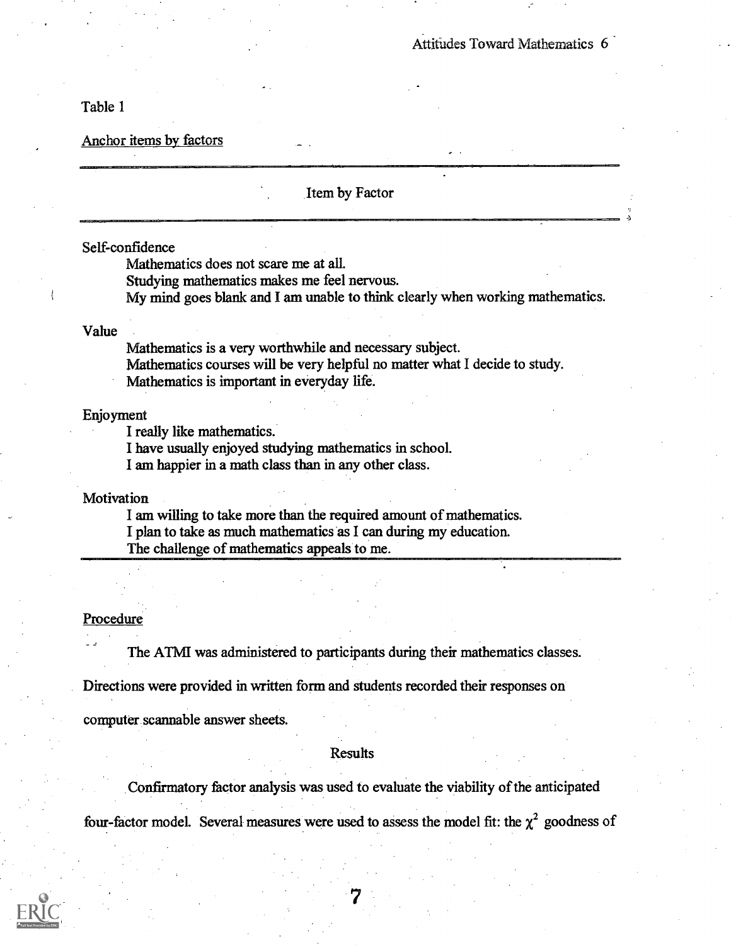Table 1

Anchor items by factors

| Item by Factor                                                                    |  |
|-----------------------------------------------------------------------------------|--|
| Self-confidence                                                                   |  |
| Mathematics does not scare me at all.                                             |  |
| Studying mathematics makes me feel nervous.                                       |  |
| My mind goes blank and I am unable to think clearly when working mathematics.     |  |
| Value                                                                             |  |
| Mathematics is a very worthwhile and necessary subject.                           |  |
| Mathematics courses will be very helpful no matter what I decide to study.        |  |
| Mathematics is important in everyday life.                                        |  |
|                                                                                   |  |
| Enjoyment                                                                         |  |
| I really like mathematics.                                                        |  |
| I have usually enjoyed studying mathematics in school.                            |  |
| I am happier in a math class than in any other class.                             |  |
| Motivation                                                                        |  |
| I am willing to take more than the required amount of mathematics.                |  |
| I plan to take as much mathematics as I can during my education.                  |  |
| The challenge of mathematics appeals to me.                                       |  |
|                                                                                   |  |
|                                                                                   |  |
|                                                                                   |  |
| Procedure                                                                         |  |
| The ATMI was administered to participants during their mathematics classes.       |  |
| Directions were provided in written form and students recorded their responses on |  |
| computer scannable answer sheets.                                                 |  |

## Results

Confirmatory factor analysis was used to evaluate the viability of the anticipated

four-factor model. Several measures were used to assess the model fit: the  $\chi^2$  goodness of

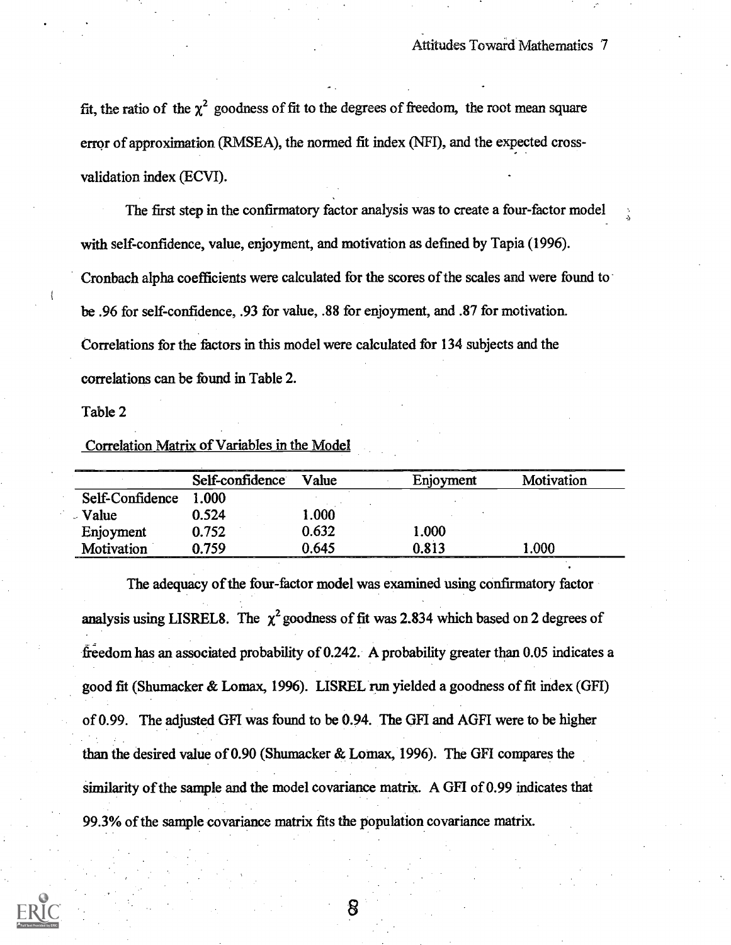fit, the ratio of the  $\chi^2$  goodness of fit to the degrees of freedom, the root mean square error of approximation (RMSEA), the normed fit index (NFI), and the expected crossvalidation index (ECVI).

The first step in the confirmatory factor analysis was to create a four-factor model with self-confidence, value, enjoyment, and motivation as defined by Tapia (1996). Cronbach alpha coefficients were calculated for the scores of the scales and were found to be .96 for self-confidence, .93 for value, .88 for enjoyment, and .87 for motivation. Correlations for the factors in this model were calculated for 134 subjects and the correlations can be found in Table 2.

Table 2

Correlation Matrix of Variables in the Model

|                 | Self-confidence | Value | Enjoyment | Motivation |
|-----------------|-----------------|-------|-----------|------------|
| Self-Confidence | 1.000           |       |           |            |
| Value           | 0.524           | 1.000 |           |            |
| Enjoyment       | 0.752           | 0.632 | 1.000     |            |
| Motivation      | 0.759           | 0.645 | 0.813     | .000       |

The adequacy of the four-factor model was examined using confirmatory factor analysis using LISREL8. The  $\chi^2$  goodness of fit was 2.834 which based on 2 degrees of freedom has an associated probability of 0.242. A probability greater than 0.05 indicates a good fit (Shumacker & Lomax, 1996). LISREL run yielded a goodness of fit index (GFI) of 0.99. The adjusted GFI was found to be 0.94. The GFI and AGFI were to be higher than the desired value of 0.90 (Shumacker & Lomax, 1996). The GFI compares the similarity of the sample and the model covariance matrix. A GFI of 0.99 indicates that 99.3% of the sample covariance matrix fits the population covariance matrix.

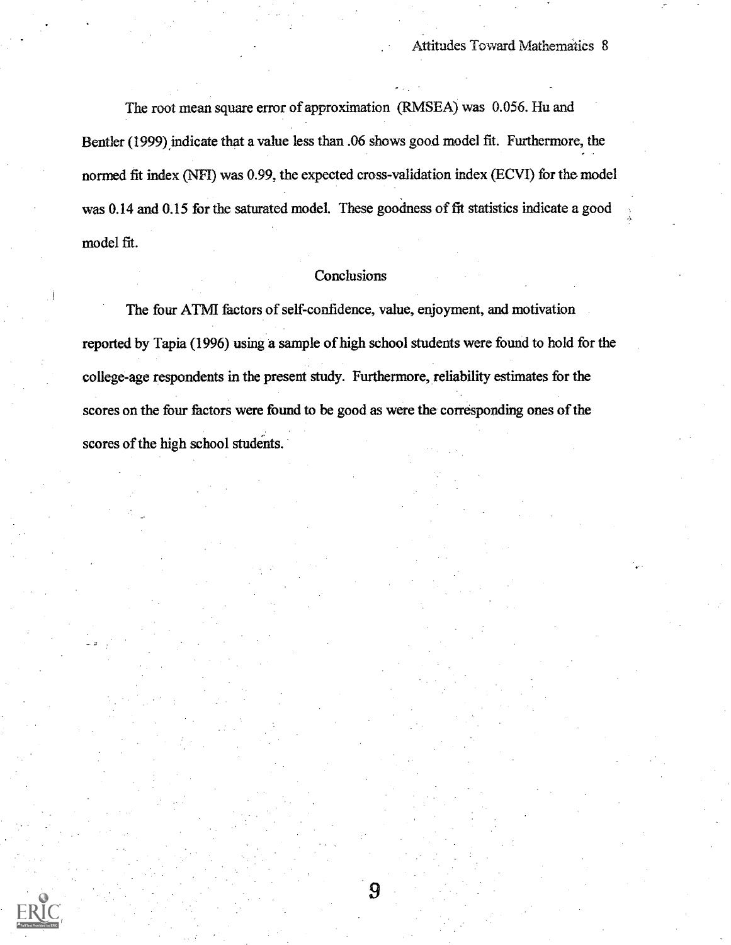The root mean square error of approximation (RMSEA) was 0.056. Hu and Bentler (1999) indicate that a value less than .06 shows good model fit. Furthermore, the normed fit index (NFI) was 0.99, the expected cross-validation index (ECVI) for the model was 0.14 and 0.15 for the saturated model. These goodness of fit statistics indicate a good model fit.

### **Conclusions**

The four ATM factors of self-confidence, value, enjoyment, and motivation reported by Tapia (1996) using a sample of high school students were found to hold for the college-age respondents in the present study. Furthermore, reliability estimates for the scores on the four factors were found to be good as were the corresponding ones of the scores of the high school students.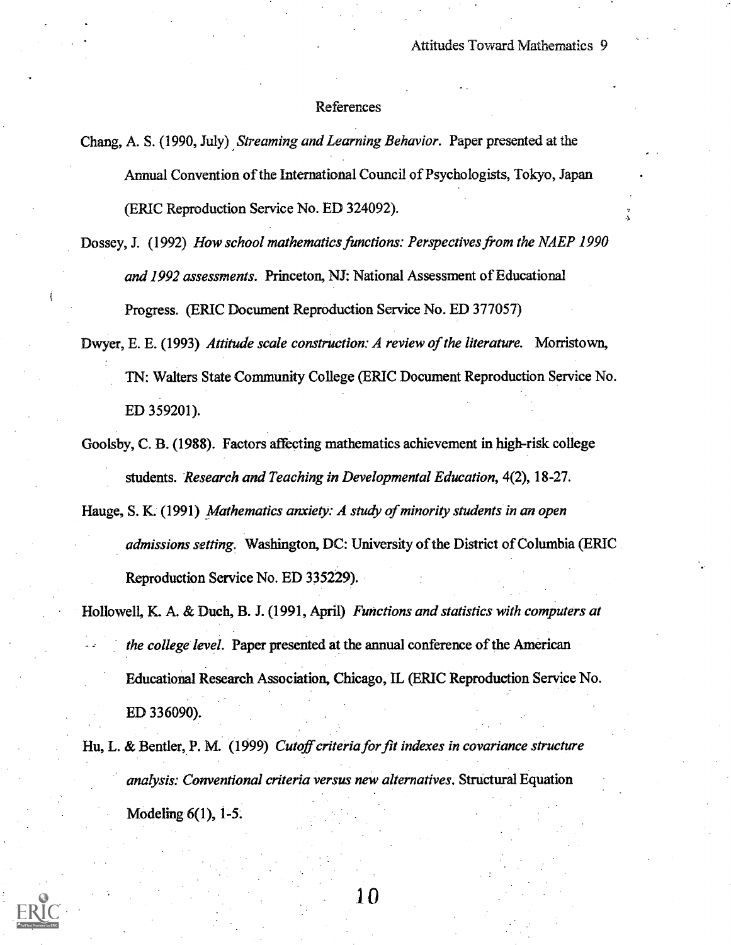### References

Chang, A. S. (1990, July) Streaming and Learning Behavior. Paper presented at the Annual Convention of the International Council of Psychologists, Tokyo, Japan (ERIC Reproduction Service No. ED 324092).

- Dossey, J. (1992) How school mathematics functions: Perspectives from the NAEP 1990 and 1992 assessments. Princeton, NJ: National Assessment of Educational Progress. (ERIC Document Reproduction Service No. ED 377057)
- Dwyer, E. E. (1993) Attitude scale construction: A review of the literature. Morristown, TN: Walters State Community College (ERIC Document Reproduction Service No. ED 359201).
- Goolsby, C. B. (1988). Factors affecting mathematics achievement in high-risk college students. Research and Teaching in Developmental Education, 4(2), 18-27.
- Hauge, S. K. (1991) Mathematics anxiety: A study of minority students in an open admissions setting. Washington, DC: University of the District of Columbia (ERIC Reproduction Service No. ED 335229).
- Hollowell, K. A. & Duch, B. J. (1991, April) Functions and statistics with computers at the college level. Paper presented at the annual conference of the American Educational Research Association, Chicago, IL (ERIC Reproduction Service No. ED 336090).
- Hu, L. & Bentler, P. M. (1999) Cutoff criteria for fit indexes in covariance structure analysis: Conventional criteria versus new alternatives. Structural Equation Modeling 6(1), 1-5.

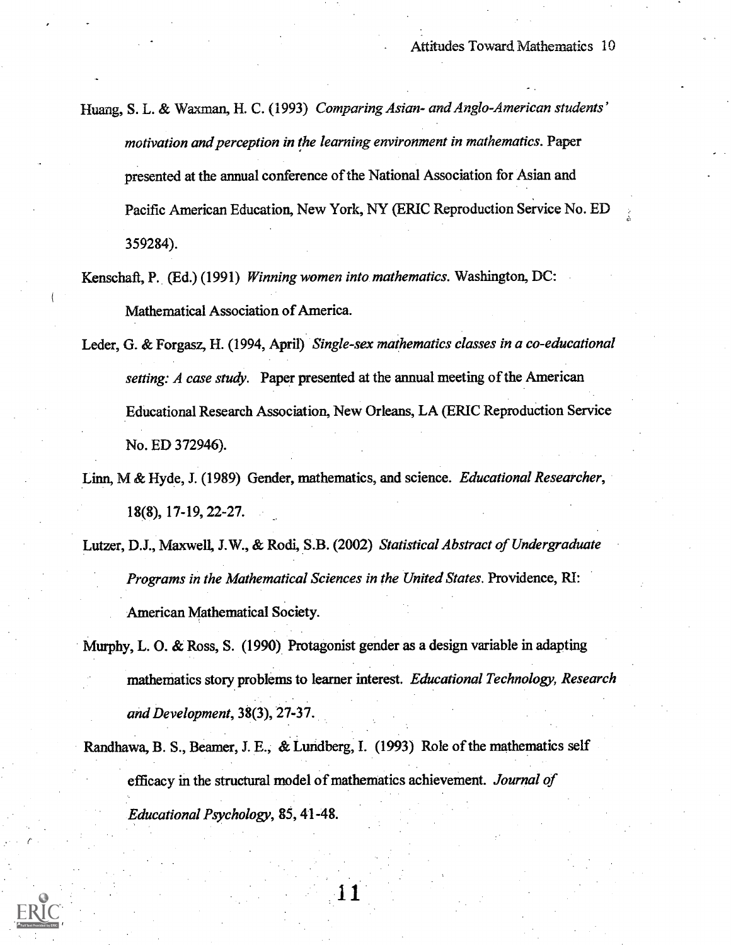- Huang, S. L. & Waxman, H. C. (1993) Comparing Asian- and Anglo-American students' motivation and perception in the learning environment in mathematics. Paper presented at the annual conference of the National Association for Asian and Pacific American Education, New York, NY (ERIC Reproduction Service No. ED 359284).
- Kenschaft, P. (Ed.) (1991) Winning women into mathematics. Washington, DC: Mathematical Association of America.
- Leder, G. & Forgasz, H. (1994, April) Single-sex mathematics classes in a co-educational setting: A case study. Paper presented at the annual meeting of the American Educational Research Association, New Orleans, LA (ERIC Reproduction Service No. ED 372946).
- Linn, M & Hyde, J. (1989) Gender, mathematics, and science. Educational Researcher, 18(8), 17-19, 22-27.
- Lutzer, D.J., Maxwell, J.W., & Rodi, S.B. (2002) Statistical Abstract of Undergraduate Programs in the Mathematical Sciences in the United States. Providence, RI: American Mathematical Society.
- Murphy, L. 0. & Ross, S. (1990) Protagonist gender as a design variable in adapting mathematics story problems to learner interest. Educational Technology, Research and Development, 38(3), 27-37.
- Randhawa, B. S., Beamer, J. E., & Lundberg, I. (1993) Role of the mathematics self efficacy in the structural model of mathematics achievement. Journal of Educational Psychology, 85, 41-48.

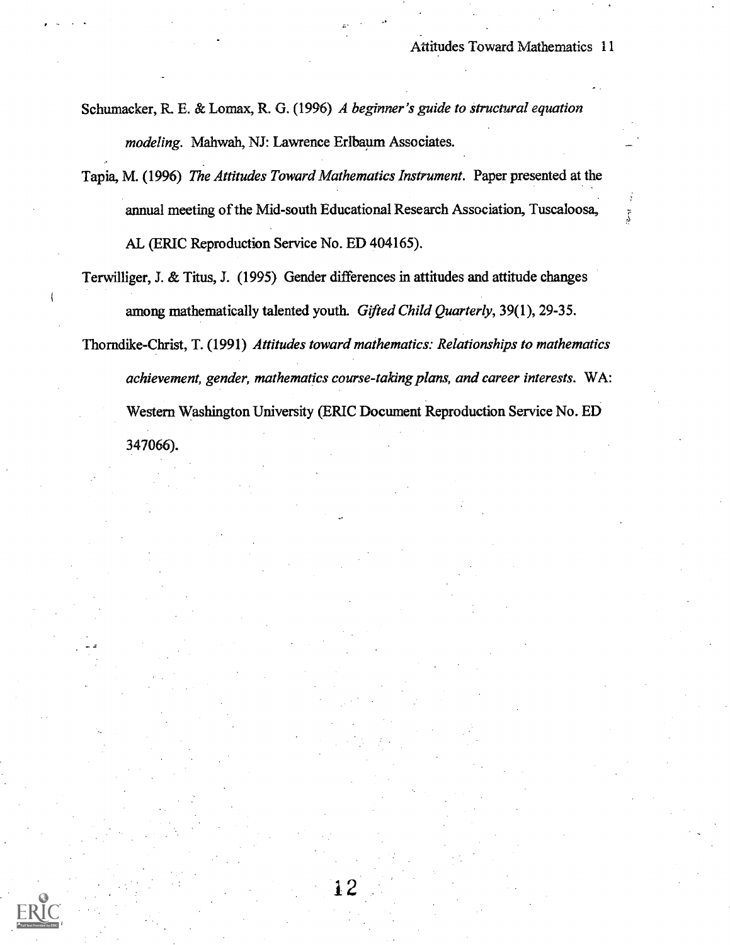Schumacker, R. E. & Lomax, R. G. (1996) A beginner's guide to structural equation modeling. Mahwah, NJ: Lawrence Erlbaum Associates.

- Tapia, M. (1996) The Attitudes Toward Mathematics Instrument. Paper presented at the annual meeting of the Mid-south Educational Research Association, Tuscaloosa, AL (ERIC Reproduction Service No. ED 404165).
- Terwilliger, J. & Titus, J. (1995) Gender differences in attitudes and attitude changes among mathematically talented youth. Gifted Child Quarterly, 39(1), 29-35.
- Thorndike-Christ, T. (1991) Attitudes toward mathematics: Relationships to mathematics achievement, gender, mathematics course-taking plans, and career interests. WA: Western Washington University (ERIC Document Reproduction Service No. ED 347066).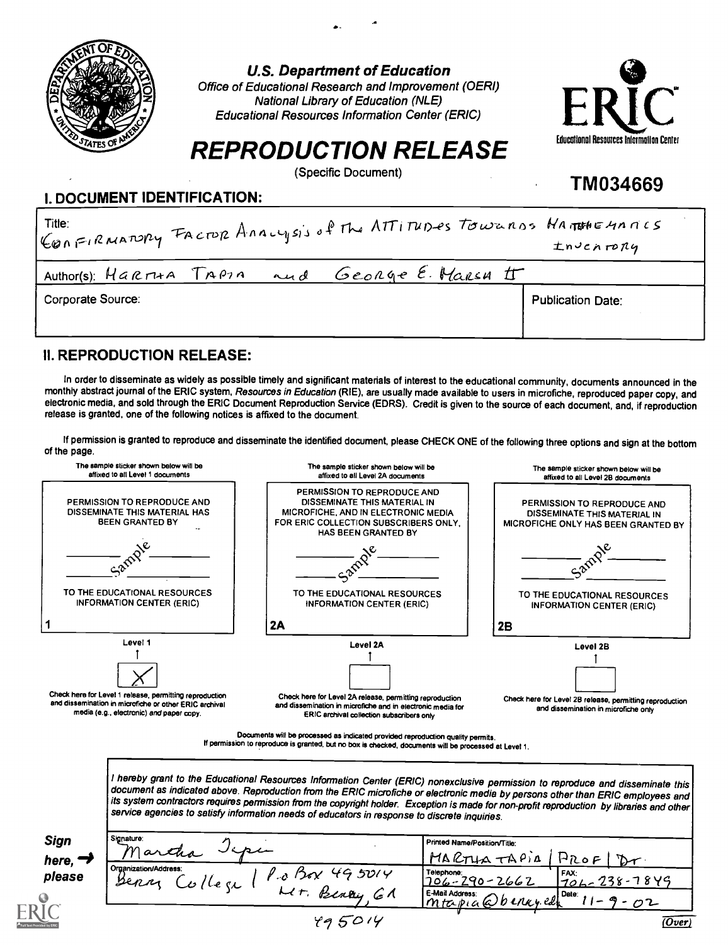

U.S. Department of Education

Office of Educational Research and Improvement (OERI) National Library of Education (NLE) Educational Resources Information Center (ERIC)



TM034669

# REPRODUCTION RELEASE

(Specific Document)

## I. DOCUMENT IDENTIFICATION:

| ConFIRMATORY FACTOR ANALYSIS of The ATTITUDES TOWERDS HATTHEMATICS<br>$t$ n Jchrony |                          |  |  |  |
|-------------------------------------------------------------------------------------|--------------------------|--|--|--|
| George E. Marsh IT<br>Author(s): Harria TAPIA<br>and                                |                          |  |  |  |
| Corporate Source:                                                                   | <b>Publication Date:</b> |  |  |  |

## II. REPRODUCTION RELEASE:

In order to disseminate as widely as possible timely and significant materials of interest to the educational community, documents announced in the monthly abstract journal of the ERIC system, Resources in Education (RIE), are usually made available to users in microfiche, reproduced paper copy, and electronic media, and sold through the ERIC Document Reproduction Service (EDRS). Credit is given to the source of each document, and, if reproduction release is granted, one of the following notices is affixed to the document.

If permission is granted to reproduce and disseminate the identified document, please CHECK ONE of the following three options and sign at the bottom of the page.



If permission to reproduce is granted, but no box is checked, documents will be processed at Level 1.

l hereby grant to the Educational Resources Information Center (ERIC) nonexclusive permission to reproduce and disseminate this<br>document as indicated above. Reproduction from the ERIC microfiche or electronic media by pers its system contractors requires permission from the copyright holder. Exception is made for non-profit reproduction by libraries and other<br>service agencies to satisfy information needs of educators in response to discrete

| <b>Sign</b><br>here, $\rightarrow$ | Signature:<br>n∩.<br>artha<br>isi                                                                                                                | Printed Name/Position/Title:<br>MARTHATAPIA<br>$P_{ROF}$                                                           |
|------------------------------------|--------------------------------------------------------------------------------------------------------------------------------------------------|--------------------------------------------------------------------------------------------------------------------|
| please                             | Organization/Address:<br>495014<br>$^{\prime}$ . A $^{\prime}$ DeX $^{\prime}$<br>Benn<br>The CL<br>ور<br>Beney<br>$\mathcal{L}$ $\tau$ .<br>6 P | Telephone:<br>FAX:<br>$706 - 238 - 7849$<br>706-290-2662<br>mtapia Dbenney. educe 11<br>$\sqrt[4]{2}$ - $\sqrt{2}$ |
|                                    | 495014                                                                                                                                           | (Over)                                                                                                             |